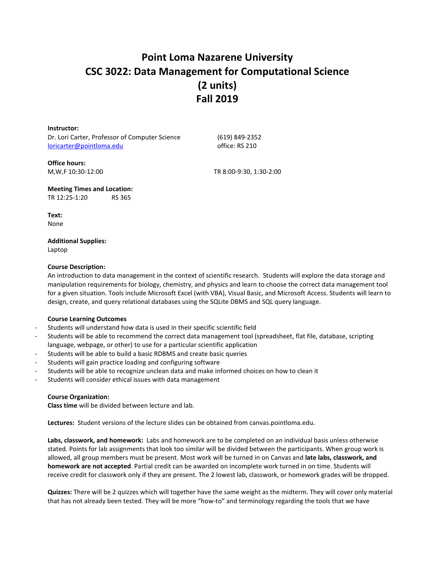# **Point Loma Nazarene University CSC 3022: Data Management for Computational Science (2 units) Fall 2019**

**Instructor:** Dr. Lori Carter, Professor of Computer Science [loricarter@pointloma.edu](mailto:loricarter@pointloma.edu)

(619) 849-2352 office: RS 210

**Office hours:**

M,W,F 10:30-12:00 TR 8:00-9:30, 1:30-2:00

**Meeting Times and Location:** TR 12:25-1:20 RS 365

**Text:** None

**Additional Supplies:** Laptop

## **Course Description:**

An introduction to data management in the context of scientific research. Students will explore the data storage and manipulation requirements for biology, chemistry, and physics and learn to choose the correct data management tool for a given situation. Tools include Microsoft Excel (with VBA), Visual Basic, and Microsoft Access. Students will learn to design, create, and query relational databases using the SQLite DBMS and SQL query language.

## **Course Learning Outcomes**

- Students will understand how data is used in their specific scientific field
- Students will be able to recommend the correct data management tool (spreadsheet, flat file, database, scripting language, webpage, or other) to use for a particular scientific application
- Students will be able to build a basic RDBMS and create basic queries
- Students will gain practice loading and configuring software
- Students will be able to recognize unclean data and make informed choices on how to clean it
- Students will consider ethical issues with data management

## **Course Organization:**

**Class time** will be divided between lecture and lab.

**Lectures:** Student versions of the lecture slides can be obtained from canvas.pointloma.edu.

**Labs, classwork, and homework:** Labs and homework are to be completed on an individual basis unless otherwise stated. Points for lab assignments that look too similar will be divided between the participants. When group work is allowed, all group members must be present. Most work will be turned in on Canvas and **late labs, classwork, and homework are not accepted**. Partial credit can be awarded on incomplete work turned in on time. Students will receive credit for classwork only if they are present. The 2 lowest lab, classwork, or homework grades will be dropped.

**Quizzes:** There will be 2 quizzes which will together have the same weight as the midterm. They will cover only material that has not already been tested. They will be more "how-to" and terminology regarding the tools that we have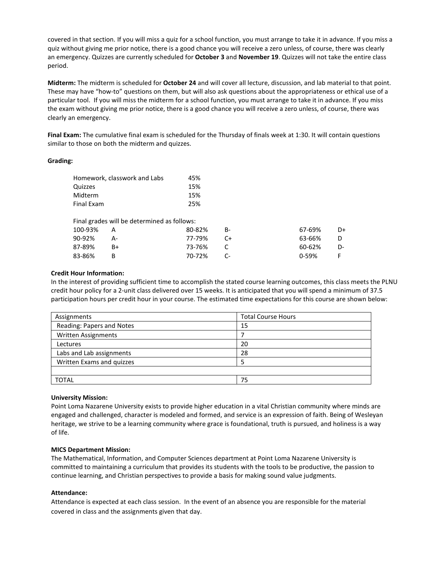covered in that section. If you will miss a quiz for a school function, you must arrange to take it in advance. If you miss a quiz without giving me prior notice, there is a good chance you will receive a zero unless, of course, there was clearly an emergency. Quizzes are currently scheduled for **October 3** and **November 19**. Quizzes will not take the entire class period.

**Midterm:** The midterm is scheduled for **October 24** and will cover all lecture, discussion, and lab material to that point. These may have "how-to" questions on them, but will also ask questions about the appropriateness or ethical use of a particular tool. If you will miss the midterm for a school function, you must arrange to take it in advance. If you miss the exam without giving me prior notice, there is a good chance you will receive a zero unless, of course, there was clearly an emergency.

**Final Exam:** The cumulative final exam is scheduled for the Thursday of finals week at 1:30. It will contain questions similar to those on both the midterm and quizzes.

## **Grading:**

| Homework, classwork and Labs | 45% |
|------------------------------|-----|
| Quizzes                      | 15% |
| Midterm                      | 15% |
| Final Exam                   | 25% |

|           |       | Final grades will be determined as follows: |      |        |    |
|-----------|-------|---------------------------------------------|------|--------|----|
| 100-93% A |       | 80-82%                                      | - R- | 67-69% | D+ |
| 90-92%    | $A -$ | 77-79%                                      | - C+ | 63-66% | D. |
| 87-89%    | R+    | 73-76%                                      |      | 60-62% | D- |
| 83-86%    |       | 70-72%                                      | - C- | በ-59%  | E. |

## **Credit Hour Information:**

In the interest of providing sufficient time to accomplish the stated course learning outcomes, this class meets the PLNU credit hour policy for a 2-unit class delivered over 15 weeks. It is anticipated that you will spend a minimum of 37.5 participation hours per credit hour in your course. The estimated time expectations for this course are shown below:

| Assignments                | <b>Total Course Hours</b> |
|----------------------------|---------------------------|
| Reading: Papers and Notes  | 15                        |
| <b>Written Assignments</b> |                           |
| Lectures                   | 20                        |
| Labs and Lab assignments   | 28                        |
| Written Exams and quizzes  |                           |
|                            |                           |
| <b>TOTAL</b>               | 75                        |

# **University Mission:**

Point Loma Nazarene University exists to provide higher education in a vital Christian community where minds are engaged and challenged, character is modeled and formed, and service is an expression of faith. Being of Wesleyan heritage, we strive to be a learning community where grace is foundational, truth is pursued, and holiness is a way of life.

## **MICS Department Mission:**

The Mathematical, Information, and Computer Sciences department at Point Loma Nazarene University is committed to maintaining a curriculum that provides its students with the tools to be productive, the passion to continue learning, and Christian perspectives to provide a basis for making sound value judgments.

## **Attendance:**

Attendance is expected at each class session. In the event of an absence you are responsible for the material covered in class and the assignments given that day.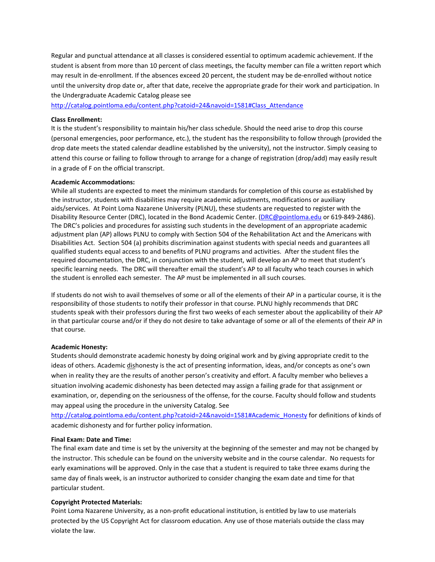Regular and punctual attendance at all classes is considered essential to optimum academic achievement. If the student is absent from more than 10 percent of class meetings, the faculty member can file a written report which may result in de-enrollment. If the absences exceed 20 percent, the student may be de-enrolled without notice until the university drop date or, after that date, receive the appropriate grade for their work and participation. In the Undergraduate Academic Catalog please see

[http://catalog.pointloma.edu/content.php?catoid=24&navoid=1581#Class\\_Attendance](http://catalog.pointloma.edu/content.php?catoid=24&navoid=1581#Class_Attendance)

#### **Class Enrollment:**

It is the student's responsibility to maintain his/her class schedule. Should the need arise to drop this course (personal emergencies, poor performance, etc.), the student has the responsibility to follow through (provided the drop date meets the stated calendar deadline established by the university), not the instructor. Simply ceasing to attend this course or failing to follow through to arrange for a change of registration (drop/add) may easily result in a grade of F on the official transcript.

#### **Academic Accommodations:**

While all students are expected to meet the minimum standards for completion of this course as established by the instructor, students with disabilities may require academic adjustments, modifications or auxiliary aids/services. At Point Loma Nazarene University (PLNU), these students are requested to register with the Disability Resource Center (DRC), located in the Bond Academic Center. [\(DRC@pointloma.edu](mailto:DRC@pointloma.edu) or 619-849-2486). The DRC's policies and procedures for assisting such students in the development of an appropriate academic adjustment plan (AP) allows PLNU to comply with Section 504 of the Rehabilitation Act and the Americans with Disabilities Act. Section 504 (a) prohibits discrimination against students with special needs and guarantees all qualified students equal access to and benefits of PLNU programs and activities. After the student files the required documentation, the DRC, in conjunction with the student, will develop an AP to meet that student's specific learning needs. The DRC will thereafter email the student's AP to all faculty who teach courses in which the student is enrolled each semester. The AP must be implemented in all such courses.

If students do not wish to avail themselves of some or all of the elements of their AP in a particular course, it is the responsibility of those students to notify their professor in that course. PLNU highly recommends that DRC students speak with their professors during the first two weeks of each semester about the applicability of their AP in that particular course and/or if they do not desire to take advantage of some or all of the elements of their AP in that course.

## **Academic Honesty:**

Students should demonstrate academic honesty by doing original work and by giving appropriate credit to the ideas of others. Academic dishonesty is the act of presenting information, ideas, and/or concepts as one's own when in reality they are the results of another person's creativity and effort. A faculty member who believes a situation involving academic dishonesty has been detected may assign a failing grade for that assignment or examination, or, depending on the seriousness of the offense, for the course. Faculty should follow and students may appeal using the procedure in the university Catalog. See

[http://catalog.pointloma.edu/content.php?catoid=24&navoid=1581#Academic\\_Honesty](http://catalog.pointloma.edu/content.php?catoid=24&navoid=1581#Academic_Honesty) for definitions of kinds of academic dishonesty and for further policy information.

#### **Final Exam: Date and Time:**

The final exam date and time is set by the university at the beginning of the semester and may not be changed by the instructor. This schedule can be found on the university website and in the course calendar. No requests for early examinations will be approved. Only in the case that a student is required to take three exams during the same day of finals week, is an instructor authorized to consider changing the exam date and time for that particular student.

## **Copyright Protected Materials:**

Point Loma Nazarene University, as a non-profit educational institution, is entitled by law to use materials protected by the US Copyright Act for classroom education. Any use of those materials outside the class may violate the law.